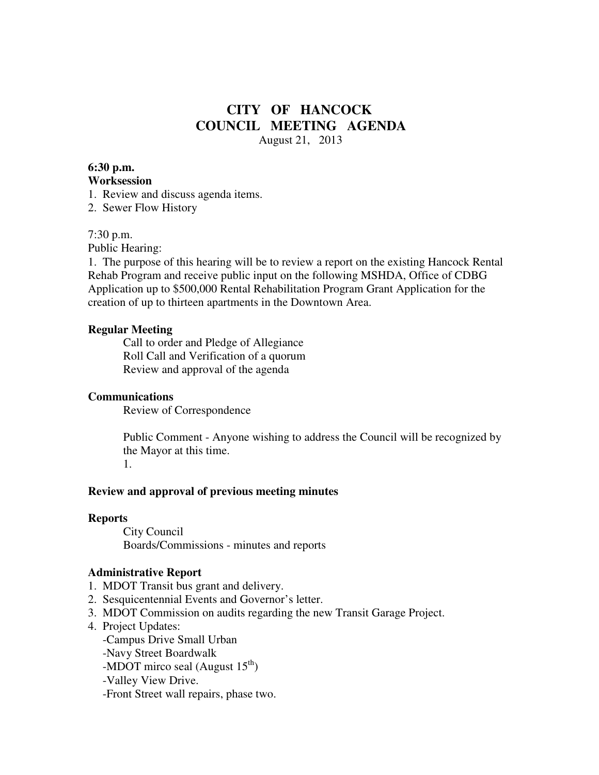## **CITY OF HANCOCK COUNCIL MEETING AGENDA**  August 21, 2013

#### **6:30 p.m. Worksession**

1. Review and discuss agenda items.

2. Sewer Flow History

## 7:30 p.m.

Public Hearing:

1. The purpose of this hearing will be to review a report on the existing Hancock Rental Rehab Program and receive public input on the following MSHDA, Office of CDBG Application up to \$500,000 Rental Rehabilitation Program Grant Application for the creation of up to thirteen apartments in the Downtown Area.

## **Regular Meeting**

 Call to order and Pledge of Allegiance Roll Call and Verification of a quorum Review and approval of the agenda

## **Communications**

Review of Correspondence

 Public Comment - Anyone wishing to address the Council will be recognized by the Mayor at this time.

1.

## **Review and approval of previous meeting minutes**

#### **Reports**

City Council Boards/Commissions - minutes and reports

#### **Administrative Report**

- 1. MDOT Transit bus grant and delivery.
- 2. Sesquicentennial Events and Governor's letter.
- 3. MDOT Commission on audits regarding the new Transit Garage Project.
- 4. Project Updates:
	- -Campus Drive Small Urban
	- -Navy Street Boardwalk
	- -MDOT mirco seal (August  $15<sup>th</sup>$ )
	- -Valley View Drive.
	- -Front Street wall repairs, phase two.